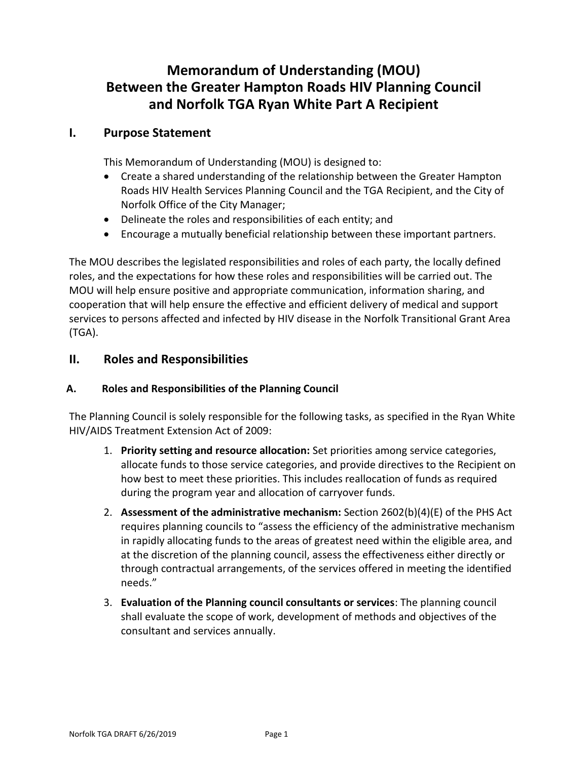# **Memorandum of Understanding (MOU) Between the Greater Hampton Roads HIV Planning Council and Norfolk TGA Ryan White Part A Recipient**

## **I. Purpose Statement**

This Memorandum of Understanding (MOU) is designed to:

- Create a shared understanding of the relationship between the Greater Hampton Roads HIV Health Services Planning Council and the TGA Recipient, and the City of Norfolk Office of the City Manager;
- Delineate the roles and responsibilities of each entity; and
- Encourage a mutually beneficial relationship between these important partners.

The MOU describes the legislated responsibilities and roles of each party, the locally defined roles, and the expectations for how these roles and responsibilities will be carried out. The MOU will help ensure positive and appropriate communication, information sharing, and cooperation that will help ensure the effective and efficient delivery of medical and support services to persons affected and infected by HIV disease in the Norfolk Transitional Grant Area (TGA).

# **II. Roles and Responsibilities**

#### **A. Roles and Responsibilities of the Planning Council**

The Planning Council is solely responsible for the following tasks, as specified in the Ryan White HIV/AIDS Treatment Extension Act of 2009:

- 1. **Priority setting and resource allocation:** Set priorities among service categories, allocate funds to those service categories, and provide directives to the Recipient on how best to meet these priorities. This includes reallocation of funds as required during the program year and allocation of carryover funds.
- 2. **Assessment of the administrative mechanism:** Section 2602(b)(4)(E) of the PHS Act requires planning councils to "assess the efficiency of the administrative mechanism in rapidly allocating funds to the areas of greatest need within the eligible area, and at the discretion of the planning council, assess the effectiveness either directly or through contractual arrangements, of the services offered in meeting the identified needs."
- 3. **Evaluation of the Planning council consultants or services**: The planning council shall evaluate the scope of work, development of methods and objectives of the consultant and services annually.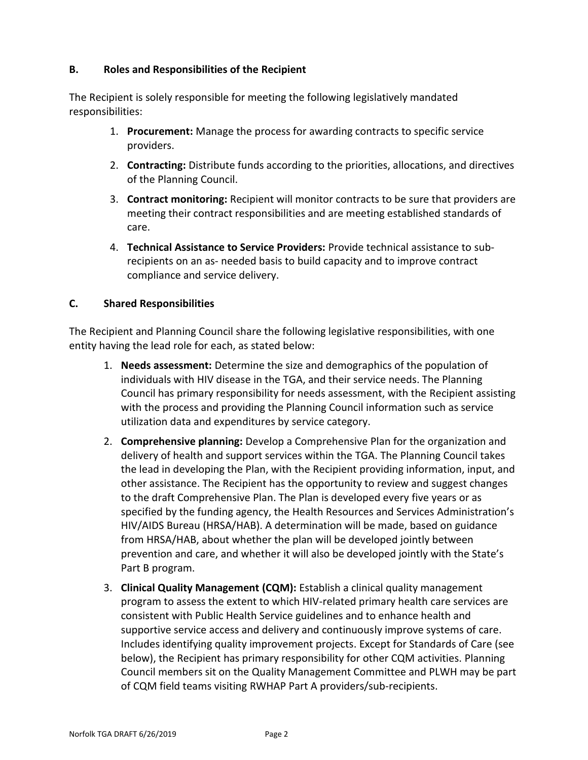#### **B. Roles and Responsibilities of the Recipient**

The Recipient is solely responsible for meeting the following legislatively mandated responsibilities:

- 1. **Procurement:** Manage the process for awarding contracts to specific service providers.
- 2. **Contracting:** Distribute funds according to the priorities, allocations, and directives of the Planning Council.
- 3. **Contract monitoring:** Recipient will monitor contracts to be sure that providers are meeting their contract responsibilities and are meeting established standards of care.
- 4. **Technical Assistance to Service Providers:** Provide technical assistance to subrecipients on an as- needed basis to build capacity and to improve contract compliance and service delivery.

## **C. Shared Responsibilities**

The Recipient and Planning Council share the following legislative responsibilities, with one entity having the lead role for each, as stated below:

- 1. **Needs assessment:** Determine the size and demographics of the population of individuals with HIV disease in the TGA, and their service needs. The Planning Council has primary responsibility for needs assessment, with the Recipient assisting with the process and providing the Planning Council information such as service utilization data and expenditures by service category.
- 2. **Comprehensive planning:** Develop a Comprehensive Plan for the organization and delivery of health and support services within the TGA. The Planning Council takes the lead in developing the Plan, with the Recipient providing information, input, and other assistance. The Recipient has the opportunity to review and suggest changes to the draft Comprehensive Plan. The Plan is developed every five years or as specified by the funding agency, the Health Resources and Services Administration's HIV/AIDS Bureau (HRSA/HAB). A determination will be made, based on guidance from HRSA/HAB, about whether the plan will be developed jointly between prevention and care, and whether it will also be developed jointly with the State's Part B program.
- 3. **Clinical Quality Management (CQM):** Establish a clinical quality management program to assess the extent to which HIV-related primary health care services are consistent with Public Health Service guidelines and to enhance health and supportive service access and delivery and continuously improve systems of care. Includes identifying quality improvement projects. Except for Standards of Care (see below), the Recipient has primary responsibility for other CQM activities. Planning Council members sit on the Quality Management Committee and PLWH may be part of CQM field teams visiting RWHAP Part A providers/sub-recipients.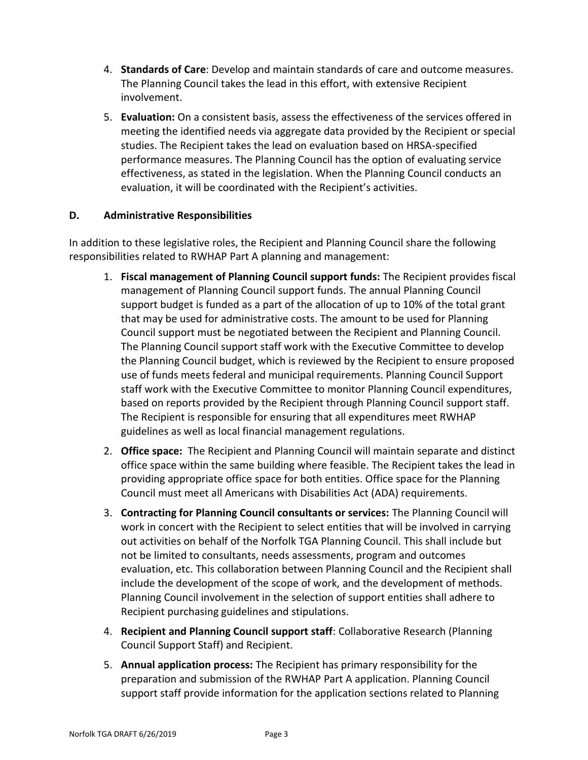- 4. **Standards of Care**: Develop and maintain standards of care and outcome measures. The Planning Council takes the lead in this effort, with extensive Recipient involvement.
- 5. **Evaluation:** On a consistent basis, assess the effectiveness of the services offered in meeting the identified needs via aggregate data provided by the Recipient or special studies. The Recipient takes the lead on evaluation based on HRSA-specified performance measures. The Planning Council has the option of evaluating service effectiveness, as stated in the legislation. When the Planning Council conducts an evaluation, it will be coordinated with the Recipient's activities.

## **D. Administrative Responsibilities**

In addition to these legislative roles, the Recipient and Planning Council share the following responsibilities related to RWHAP Part A planning and management:

- 1. **Fiscal management of Planning Council support funds:** The Recipient provides fiscal management of Planning Council support funds. The annual Planning Council support budget is funded as a part of the allocation of up to 10% of the total grant that may be used for administrative costs. The amount to be used for Planning Council support must be negotiated between the Recipient and Planning Council. The Planning Council support staff work with the Executive Committee to develop the Planning Council budget, which is reviewed by the Recipient to ensure proposed use of funds meets federal and municipal requirements. Planning Council Support staff work with the Executive Committee to monitor Planning Council expenditures, based on reports provided by the Recipient through Planning Council support staff. The Recipient is responsible for ensuring that all expenditures meet RWHAP guidelines as well as local financial management regulations.
- 2. **Office space:** The Recipient and Planning Council will maintain separate and distinct office space within the same building where feasible. The Recipient takes the lead in providing appropriate office space for both entities. Office space for the Planning Council must meet all Americans with Disabilities Act (ADA) requirements.
- 3. **Contracting for Planning Council consultants or services:** The Planning Council will work in concert with the Recipient to select entities that will be involved in carrying out activities on behalf of the Norfolk TGA Planning Council. This shall include but not be limited to consultants, needs assessments, program and outcomes evaluation, etc. This collaboration between Planning Council and the Recipient shall include the development of the scope of work, and the development of methods. Planning Council involvement in the selection of support entities shall adhere to Recipient purchasing guidelines and stipulations.
- 4. **Recipient and Planning Council support staff**: Collaborative Research (Planning Council Support Staff) and Recipient.
- 5. **Annual application process:** The Recipient has primary responsibility for the preparation and submission of the RWHAP Part A application. Planning Council support staff provide information for the application sections related to Planning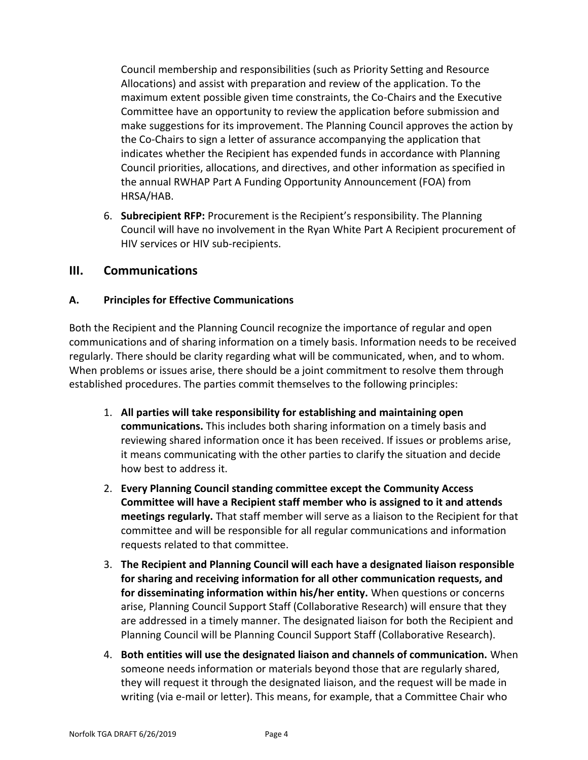Council membership and responsibilities (such as Priority Setting and Resource Allocations) and assist with preparation and review of the application. To the maximum extent possible given time constraints, the Co-Chairs and the Executive Committee have an opportunity to review the application before submission and make suggestions for its improvement. The Planning Council approves the action by the Co-Chairs to sign a letter of assurance accompanying the application that indicates whether the Recipient has expended funds in accordance with Planning Council priorities, allocations, and directives, and other information as specified in the annual RWHAP Part A Funding Opportunity Announcement (FOA) from HRSA/HAB.

6. **Subrecipient RFP:** Procurement is the Recipient's responsibility. The Planning Council will have no involvement in the Ryan White Part A Recipient procurement of HIV services or HIV sub-recipients.

## **III. Communications**

## **A. Principles for Effective Communications**

Both the Recipient and the Planning Council recognize the importance of regular and open communications and of sharing information on a timely basis. Information needs to be received regularly. There should be clarity regarding what will be communicated, when, and to whom. When problems or issues arise, there should be a joint commitment to resolve them through established procedures. The parties commit themselves to the following principles:

- 1. **All parties will take responsibility for establishing and maintaining open communications.** This includes both sharing information on a timely basis and reviewing shared information once it has been received. If issues or problems arise, it means communicating with the other parties to clarify the situation and decide how best to address it.
- 2. **Every Planning Council standing committee except the Community Access Committee will have a Recipient staff member who is assigned to it and attends meetings regularly.** That staff member will serve as a liaison to the Recipient for that committee and will be responsible for all regular communications and information requests related to that committee.
- 3. **The Recipient and Planning Council will each have a designated liaison responsible for sharing and receiving information for all other communication requests, and for disseminating information within his/her entity.** When questions or concerns arise, Planning Council Support Staff (Collaborative Research) will ensure that they are addressed in a timely manner. The designated liaison for both the Recipient and Planning Council will be Planning Council Support Staff (Collaborative Research).
- 4. **Both entities will use the designated liaison and channels of communication.** When someone needs information or materials beyond those that are regularly shared, they will request it through the designated liaison, and the request will be made in writing (via e-mail or letter). This means, for example, that a Committee Chair who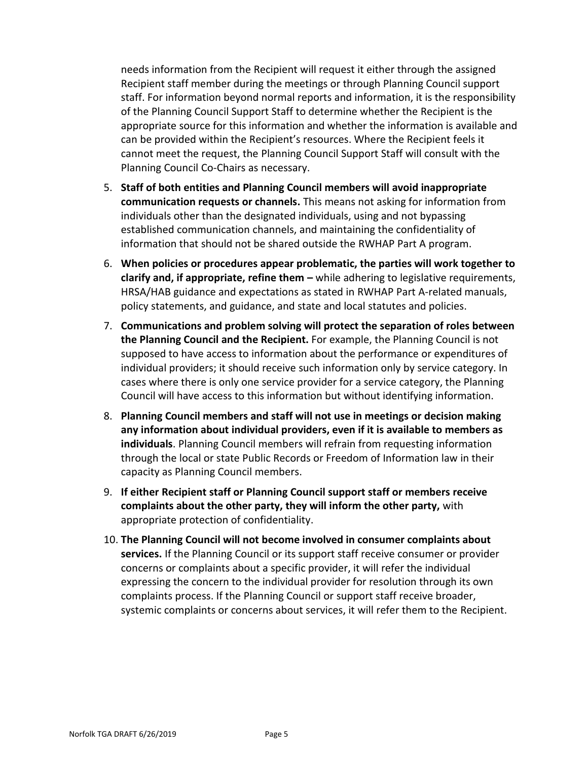needs information from the Recipient will request it either through the assigned Recipient staff member during the meetings or through Planning Council support staff. For information beyond normal reports and information, it is the responsibility of the Planning Council Support Staff to determine whether the Recipient is the appropriate source for this information and whether the information is available and can be provided within the Recipient's resources. Where the Recipient feels it cannot meet the request, the Planning Council Support Staff will consult with the Planning Council Co-Chairs as necessary.

- 5. **Staff of both entities and Planning Council members will avoid inappropriate communication requests or channels.** This means not asking for information from individuals other than the designated individuals, using and not bypassing established communication channels, and maintaining the confidentiality of information that should not be shared outside the RWHAP Part A program.
- 6. **When policies or procedures appear problematic, the parties will work together to clarify and, if appropriate, refine them –** while adhering to legislative requirements, HRSA/HAB guidance and expectations as stated in RWHAP Part A-related manuals, policy statements, and guidance, and state and local statutes and policies.
- 7. **Communications and problem solving will protect the separation of roles between the Planning Council and the Recipient.** For example, the Planning Council is not supposed to have access to information about the performance or expenditures of individual providers; it should receive such information only by service category. In cases where there is only one service provider for a service category, the Planning Council will have access to this information but without identifying information.
- 8. **Planning Council members and staff will not use in meetings or decision making any information about individual providers, even if it is available to members as individuals**. Planning Council members will refrain from requesting information through the local or state Public Records or Freedom of Information law in their capacity as Planning Council members.
- 9. **If either Recipient staff or Planning Council support staff or members receive complaints about the other party, they will inform the other party,** with appropriate protection of confidentiality.
- 10. **The Planning Council will not become involved in consumer complaints about services.** If the Planning Council or its support staff receive consumer or provider concerns or complaints about a specific provider, it will refer the individual expressing the concern to the individual provider for resolution through its own complaints process. If the Planning Council or support staff receive broader, systemic complaints or concerns about services, it will refer them to the Recipient.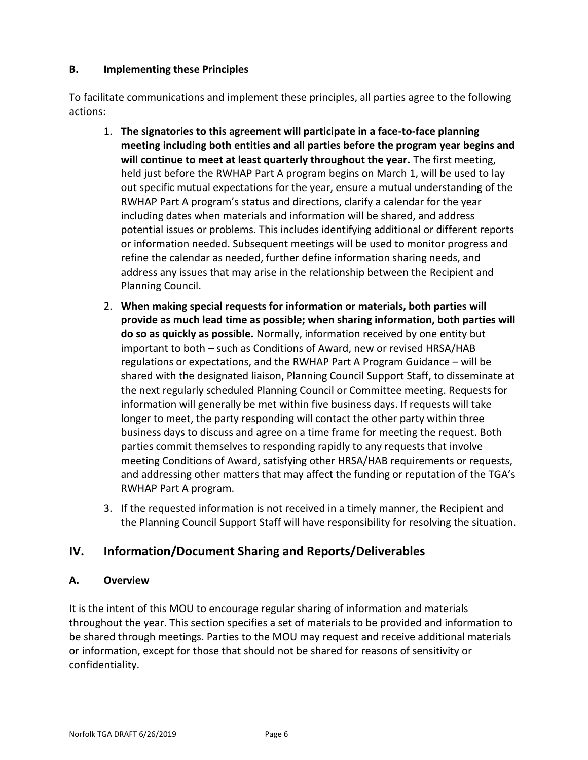## **B. Implementing these Principles**

To facilitate communications and implement these principles, all parties agree to the following actions:

- 1. **The signatories to this agreement will participate in a face-to-face planning meeting including both entities and all parties before the program year begins and will continue to meet at least quarterly throughout the year.** The first meeting, held just before the RWHAP Part A program begins on March 1, will be used to lay out specific mutual expectations for the year, ensure a mutual understanding of the RWHAP Part A program's status and directions, clarify a calendar for the year including dates when materials and information will be shared, and address potential issues or problems. This includes identifying additional or different reports or information needed. Subsequent meetings will be used to monitor progress and refine the calendar as needed, further define information sharing needs, and address any issues that may arise in the relationship between the Recipient and Planning Council.
- 2. **When making special requests for information or materials, both parties will provide as much lead time as possible; when sharing information, both parties will do so as quickly as possible.** Normally, information received by one entity but important to both – such as Conditions of Award, new or revised HRSA/HAB regulations or expectations, and the RWHAP Part A Program Guidance – will be shared with the designated liaison, Planning Council Support Staff, to disseminate at the next regularly scheduled Planning Council or Committee meeting. Requests for information will generally be met within five business days. If requests will take longer to meet, the party responding will contact the other party within three business days to discuss and agree on a time frame for meeting the request. Both parties commit themselves to responding rapidly to any requests that involve meeting Conditions of Award, satisfying other HRSA/HAB requirements or requests, and addressing other matters that may affect the funding or reputation of the TGA's RWHAP Part A program.
- 3. If the requested information is not received in a timely manner, the Recipient and the Planning Council Support Staff will have responsibility for resolving the situation.

# **IV. Information/Document Sharing and Reports/Deliverables**

## **A. Overview**

It is the intent of this MOU to encourage regular sharing of information and materials throughout the year. This section specifies a set of materials to be provided and information to be shared through meetings. Parties to the MOU may request and receive additional materials or information, except for those that should not be shared for reasons of sensitivity or confidentiality.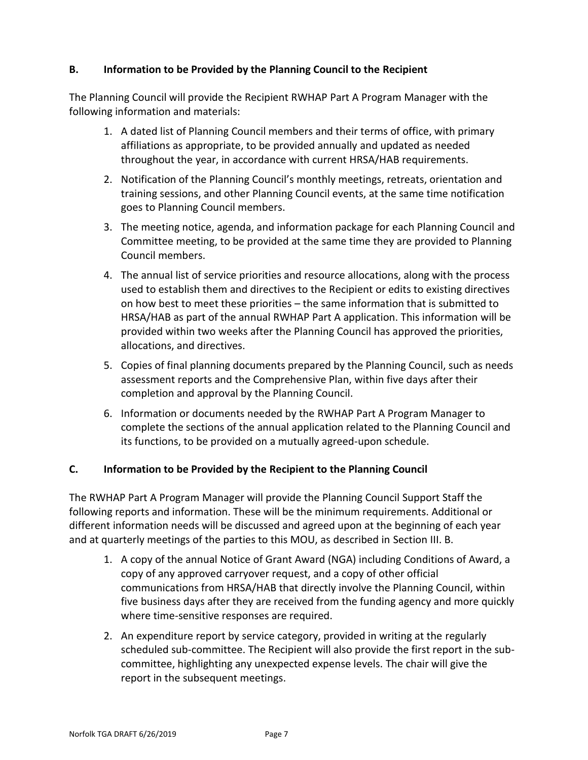## **B. Information to be Provided by the Planning Council to the Recipient**

The Planning Council will provide the Recipient RWHAP Part A Program Manager with the following information and materials:

- 1. A dated list of Planning Council members and their terms of office, with primary affiliations as appropriate, to be provided annually and updated as needed throughout the year, in accordance with current HRSA/HAB requirements.
- 2. Notification of the Planning Council's monthly meetings, retreats, orientation and training sessions, and other Planning Council events, at the same time notification goes to Planning Council members.
- 3. The meeting notice, agenda, and information package for each Planning Council and Committee meeting, to be provided at the same time they are provided to Planning Council members.
- 4. The annual list of service priorities and resource allocations, along with the process used to establish them and directives to the Recipient or edits to existing directives on how best to meet these priorities – the same information that is submitted to HRSA/HAB as part of the annual RWHAP Part A application. This information will be provided within two weeks after the Planning Council has approved the priorities, allocations, and directives.
- 5. Copies of final planning documents prepared by the Planning Council, such as needs assessment reports and the Comprehensive Plan, within five days after their completion and approval by the Planning Council.
- 6. Information or documents needed by the RWHAP Part A Program Manager to complete the sections of the annual application related to the Planning Council and its functions, to be provided on a mutually agreed-upon schedule.

## **C. Information to be Provided by the Recipient to the Planning Council**

The RWHAP Part A Program Manager will provide the Planning Council Support Staff the following reports and information. These will be the minimum requirements. Additional or different information needs will be discussed and agreed upon at the beginning of each year and at quarterly meetings of the parties to this MOU, as described in Section III. B.

- 1. A copy of the annual Notice of Grant Award (NGA) including Conditions of Award, a copy of any approved carryover request, and a copy of other official communications from HRSA/HAB that directly involve the Planning Council, within five business days after they are received from the funding agency and more quickly where time-sensitive responses are required.
- 2. An expenditure report by service category, provided in writing at the regularly scheduled sub-committee. The Recipient will also provide the first report in the subcommittee, highlighting any unexpected expense levels. The chair will give the report in the subsequent meetings.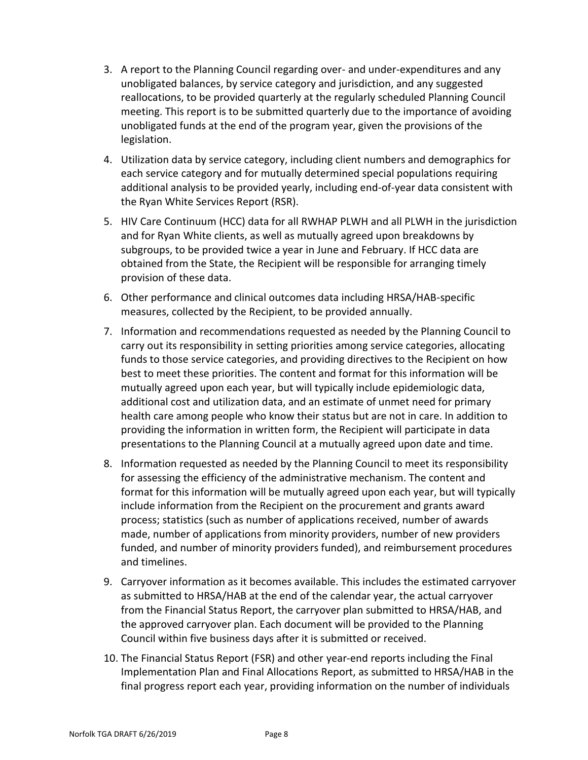- 3. A report to the Planning Council regarding over- and under-expenditures and any unobligated balances, by service category and jurisdiction, and any suggested reallocations, to be provided quarterly at the regularly scheduled Planning Council meeting. This report is to be submitted quarterly due to the importance of avoiding unobligated funds at the end of the program year, given the provisions of the legislation.
- 4. Utilization data by service category, including client numbers and demographics for each service category and for mutually determined special populations requiring additional analysis to be provided yearly, including end-of-year data consistent with the Ryan White Services Report (RSR).
- 5. HIV Care Continuum (HCC) data for all RWHAP PLWH and all PLWH in the jurisdiction and for Ryan White clients, as well as mutually agreed upon breakdowns by subgroups, to be provided twice a year in June and February. If HCC data are obtained from the State, the Recipient will be responsible for arranging timely provision of these data.
- 6. Other performance and clinical outcomes data including HRSA/HAB-specific measures, collected by the Recipient, to be provided annually.
- 7. Information and recommendations requested as needed by the Planning Council to carry out its responsibility in setting priorities among service categories, allocating funds to those service categories, and providing directives to the Recipient on how best to meet these priorities. The content and format for this information will be mutually agreed upon each year, but will typically include epidemiologic data, additional cost and utilization data, and an estimate of unmet need for primary health care among people who know their status but are not in care. In addition to providing the information in written form, the Recipient will participate in data presentations to the Planning Council at a mutually agreed upon date and time.
- 8. Information requested as needed by the Planning Council to meet its responsibility for assessing the efficiency of the administrative mechanism. The content and format for this information will be mutually agreed upon each year, but will typically include information from the Recipient on the procurement and grants award process; statistics (such as number of applications received, number of awards made, number of applications from minority providers, number of new providers funded, and number of minority providers funded), and reimbursement procedures and timelines.
- 9. Carryover information as it becomes available. This includes the estimated carryover as submitted to HRSA/HAB at the end of the calendar year, the actual carryover from the Financial Status Report, the carryover plan submitted to HRSA/HAB, and the approved carryover plan. Each document will be provided to the Planning Council within five business days after it is submitted or received.
- 10. The Financial Status Report (FSR) and other year-end reports including the Final Implementation Plan and Final Allocations Report, as submitted to HRSA/HAB in the final progress report each year, providing information on the number of individuals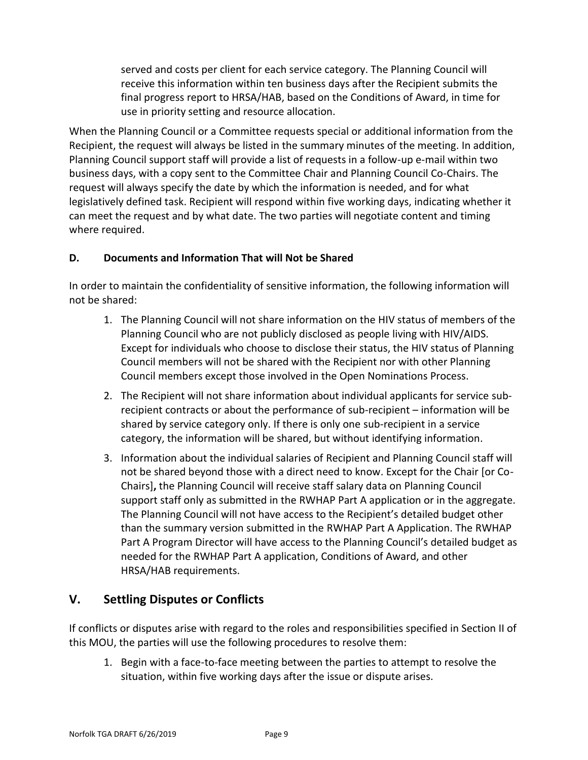served and costs per client for each service category. The Planning Council will receive this information within ten business days after the Recipient submits the final progress report to HRSA/HAB, based on the Conditions of Award, in time for use in priority setting and resource allocation.

When the Planning Council or a Committee requests special or additional information from the Recipient, the request will always be listed in the summary minutes of the meeting. In addition, Planning Council support staff will provide a list of requests in a follow-up e-mail within two business days, with a copy sent to the Committee Chair and Planning Council Co-Chairs. The request will always specify the date by which the information is needed, and for what legislatively defined task. Recipient will respond within five working days, indicating whether it can meet the request and by what date. The two parties will negotiate content and timing where required.

## **D. Documents and Information That will Not be Shared**

In order to maintain the confidentiality of sensitive information, the following information will not be shared:

- 1. The Planning Council will not share information on the HIV status of members of the Planning Council who are not publicly disclosed as people living with HIV/AIDS. Except for individuals who choose to disclose their status, the HIV status of Planning Council members will not be shared with the Recipient nor with other Planning Council members except those involved in the Open Nominations Process.
- 2. The Recipient will not share information about individual applicants for service subrecipient contracts or about the performance of sub-recipient – information will be shared by service category only. If there is only one sub-recipient in a service category, the information will be shared, but without identifying information.
- 3. Information about the individual salaries of Recipient and Planning Council staff will not be shared beyond those with a direct need to know. Except for the Chair [or Co-Chairs]**,** the Planning Council will receive staff salary data on Planning Council support staff only as submitted in the RWHAP Part A application or in the aggregate. The Planning Council will not have access to the Recipient's detailed budget other than the summary version submitted in the RWHAP Part A Application. The RWHAP Part A Program Director will have access to the Planning Council's detailed budget as needed for the RWHAP Part A application, Conditions of Award, and other HRSA/HAB requirements.

# **V. Settling Disputes or Conflicts**

If conflicts or disputes arise with regard to the roles and responsibilities specified in Section II of this MOU, the parties will use the following procedures to resolve them:

1. Begin with a face-to-face meeting between the parties to attempt to resolve the situation, within five working days after the issue or dispute arises.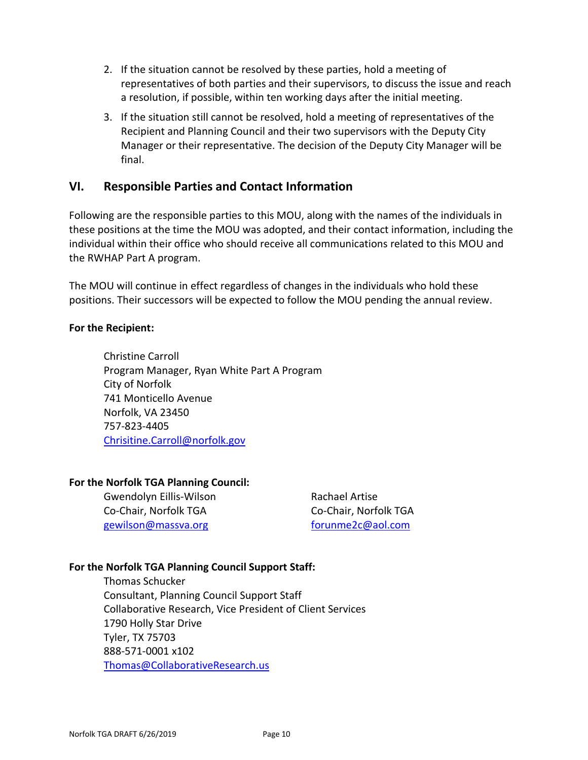- 2. If the situation cannot be resolved by these parties, hold a meeting of representatives of both parties and their supervisors, to discuss the issue and reach a resolution, if possible, within ten working days after the initial meeting.
- 3. If the situation still cannot be resolved, hold a meeting of representatives of the Recipient and Planning Council and their two supervisors with the Deputy City Manager or their representative. The decision of the Deputy City Manager will be final.

## **VI. Responsible Parties and Contact Information**

Following are the responsible parties to this MOU, along with the names of the individuals in these positions at the time the MOU was adopted, and their contact information, including the individual within their office who should receive all communications related to this MOU and the RWHAP Part A program.

The MOU will continue in effect regardless of changes in the individuals who hold these positions. Their successors will be expected to follow the MOU pending the annual review.

#### **For the Recipient:**

Christine Carroll Program Manager, Ryan White Part A Program City of Norfolk 741 Monticello Avenue Norfolk, VA 23450 757-823-4405 [Chrisitine.Carroll@norfolk.gov](mailto:Chrisitine.Carroll@norfolk.gov)

#### **For the Norfolk TGA Planning Council:**

Gwendolyn Eillis-Wilson **Rachael Artise** Co-Chair, Norfolk TGA Co-Chair, Norfolk TGA [gewilson@massva.org](mailto:gewilson@massva.org) [forunme2c@aol.com](mailto:forunme2c@aol.com)

#### **For the Norfolk TGA Planning Council Support Staff:**

Thomas Schucker Consultant, Planning Council Support Staff Collaborative Research, Vice President of Client Services 1790 Holly Star Drive Tyler, TX 75703 888-571-0001 x102 [Thomas@CollaborativeResearch.us](mailto:Thomas@CollaborativeResearch.us)